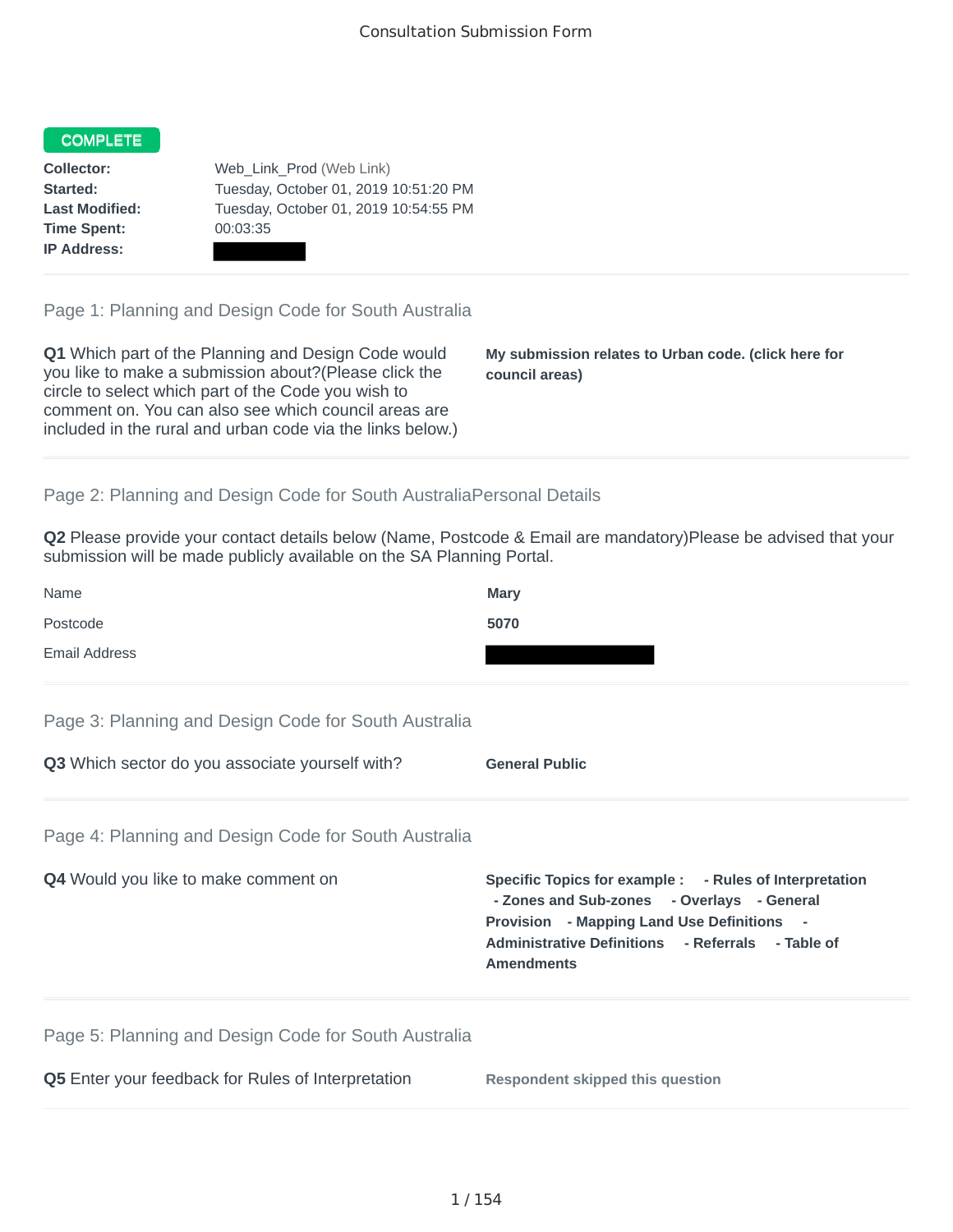## COMPLETE

**Time Spent:** 00:03:35 **IP Address:**

**Collector:** Web\_Link\_Prod (Web Link) **Started:** Tuesday, October 01, 2019 10:51:20 PM **Last Modified:** Tuesday, October 01, 2019 10:54:55 PM

Page 1: Planning and Design Code for South Australia

**Q1** Which part of the Planning and Design Code would you like to make a submission about?(Please click the circle to select which part of the Code you wish to comment on. You can also see which council areas are included in the rural and urban code via the links below.)

**My submission relates to Urban code. (click here for council areas)**

## Page 2: Planning and Design Code for South AustraliaPersonal Details

**Q2** Please provide your contact details below (Name, Postcode & Email are mandatory)Please be advised that your submission will be made publicly available on the SA Planning Portal.

| Name                                                 | Mary                                                                                                                                                                                                                               |
|------------------------------------------------------|------------------------------------------------------------------------------------------------------------------------------------------------------------------------------------------------------------------------------------|
| Postcode                                             | 5070                                                                                                                                                                                                                               |
| <b>Email Address</b>                                 |                                                                                                                                                                                                                                    |
| Page 3: Planning and Design Code for South Australia |                                                                                                                                                                                                                                    |
| Q3 Which sector do you associate yourself with?      | <b>General Public</b>                                                                                                                                                                                                              |
| Page 4: Planning and Design Code for South Australia |                                                                                                                                                                                                                                    |
| Q4 Would you like to make comment on                 | Specific Topics for example : - Rules of Interpretation<br>- Zones and Sub-zones - Overlays - General<br><b>Provision</b> - Mapping Land Use Definitions<br>Administrative Definitions - Referrals - Table of<br><b>Amendments</b> |
| Page 5: Planning and Design Code for South Australia |                                                                                                                                                                                                                                    |
| Q5 Enter your feedback for Rules of Interpretation   | <b>Respondent skipped this question</b>                                                                                                                                                                                            |